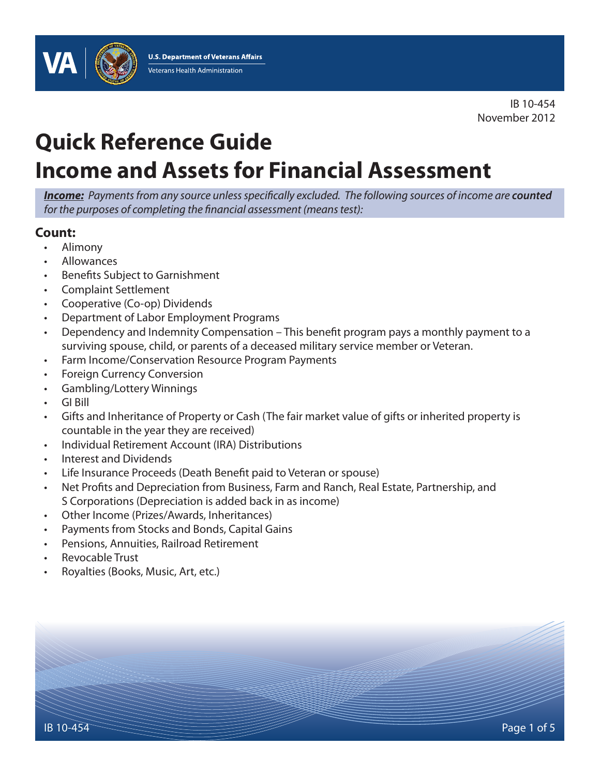

IB 10-454 November 2012

# **Quick Reference Guide Income and Assets for Financial Assessment**

*Income: Payments from any source unless specifically excluded. The following sources of income are counted for the purposes of completing the financial assessment (means test):*

## **Count:**

- Alimony
- Allowances
- Benefits Subject to Garnishment
- Complaint Settlement
- Cooperative (Co-op) Dividends
- Department of Labor Employment Programs
- Dependency and Indemnity Compensation This benefit program pays a monthly payment to a surviving spouse, child, or parents of a deceased military service member or Veteran.
- Farm Income/Conservation Resource Program Payments
- Foreign Currency Conversion
- Gambling/Lottery Winnings
- GI Bill
- Gifts and Inheritance of Property or Cash (The fair market value of gifts or inherited property is countable in the year they are received)
- Individual Retirement Account (IRA) Distributions
- Interest and Dividends
- Life Insurance Proceeds (Death Benefit paid to Veteran or spouse)
- Net Profits and Depreciation from Business, Farm and Ranch, Real Estate, Partnership, and S Corporations (Depreciation is added back in as income)
- Other Income (Prizes/Awards, Inheritances)
- Payments from Stocks and Bonds, Capital Gains
- Pensions, Annuities, Railroad Retirement
- Revocable Trust
- Royalties (Books, Music, Art, etc.)

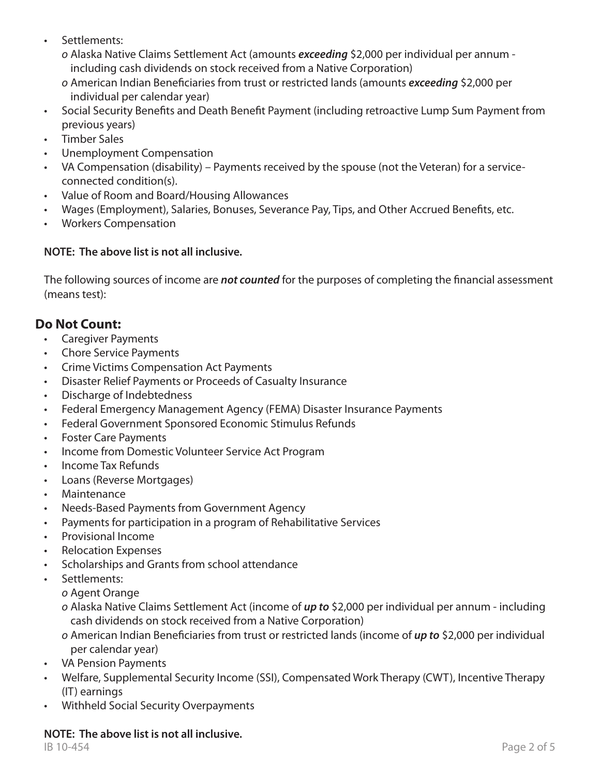- Settlements:
	- *o* Alaska Native Claims Settlement Act (amounts *exceeding* \$2,000 per individual per annum including cash dividends on stock received from a Native Corporation)
	- *o* American Indian Beneficiaries from trust or restricted lands (amounts *exceeding* \$2,000 per individual per calendar year)
- Social Security Benefits and Death Benefit Payment (including retroactive Lump Sum Payment from previous years)
- Timber Sales
- Unemployment Compensation
- VA Compensation (disability) Payments received by the spouse (not the Veteran) for a serviceconnected condition(s).
- Value of Room and Board/Housing Allowances
- Wages (Employment), Salaries, Bonuses, Severance Pay, Tips, and Other Accrued Benefits, etc.
- Workers Compensation

## **NOTE: The above list is not all inclusive.**

The following sources of income are *not counted* for the purposes of completing the financial assessment (means test):

# **Do Not Count:**

- Caregiver Payments
- Chore Service Payments
- Crime Victims Compensation Act Payments
- Disaster Relief Payments or Proceeds of Casualty Insurance
- Discharge of Indebtedness
- Federal Emergency Management Agency (FEMA) Disaster Insurance Payments
- Federal Government Sponsored Economic Stimulus Refunds
- Foster Care Payments
- Income from Domestic Volunteer Service Act Program
- Income Tax Refunds
- Loans (Reverse Mortgages)
- Maintenance
- Needs-Based Payments from Government Agency
- Payments for participation in a program of Rehabilitative Services
- Provisional Income
- Relocation Expenses
- Scholarships and Grants from school attendance
- Settlements:
	- *o* Agent Orange
	- *o* Alaska Native Claims Settlement Act (income of *up to* \$2,000 per individual per annum including cash dividends on stock received from a Native Corporation)
	- *o* American Indian Beneficiaries from trust or restricted lands (income of *up to* \$2,000 per individual per calendar year)
- VA Pension Payments
- Welfare, Supplemental Security Income (SSI), Compensated Work Therapy (CWT), Incentive Therapy (IT) earnings
- Withheld Social Security Overpayments

## **NOTE: The above list is not all inclusive.**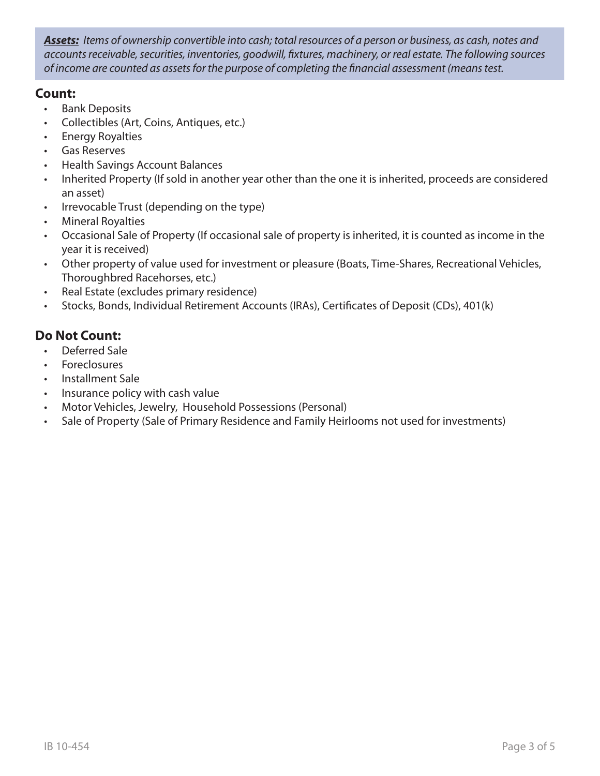*Assets: Items of ownership convertible into cash; total resources of a person or business, as cash, notes and accounts receivable, securities, inventories, goodwill, fixtures, machinery, or real estate. The following sources of income are counted as assets for the purpose of completing the financial assessment (means test.*

## **Count:**

- Bank Deposits
- Collectibles (Art, Coins, Antiques, etc.)
- Energy Royalties
- Gas Reserves
- Health Savings Account Balances
- Inherited Property (If sold in another year other than the one it is inherited, proceeds are considered an asset)
- Irrevocable Trust (depending on the type)
- Mineral Royalties
- Occasional Sale of Property (If occasional sale of property is inherited, it is counted as income in the year it is received)
- Other property of value used for investment or pleasure (Boats, Time-Shares, Recreational Vehicles, Thoroughbred Racehorses, etc.)
- Real Estate (excludes primary residence)
- Stocks, Bonds, Individual Retirement Accounts (IRAs), Certificates of Deposit (CDs), 401(k)

# **Do Not Count:**

- Deferred Sale
- Foreclosures
- Installment Sale
- Insurance policy with cash value
- Motor Vehicles, Jewelry, Household Possessions (Personal)
- Sale of Property (Sale of Primary Residence and Family Heirlooms not used for investments)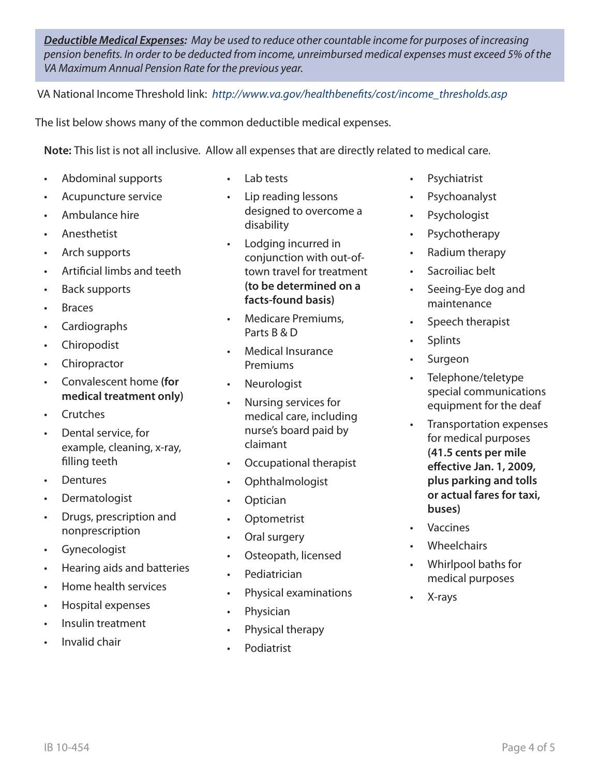*Deductible Medical Expenses: May be used to reduce other countable income for purposes of increasing pension benefits. In order to be deducted from income, unreimbursed medical expenses must exceed 5% of the VA Maximum Annual Pension Rate for the previous year.*

VA National Income Threshold link: *[http://www.va.gov/healthbenefits/cost/income\\_thresholds.asp](http://www.va.gov/healthbenefits/cost/income_thresholds.asp)*

The list below shows many of the common deductible medical expenses.

**Note:** This list is not all inclusive. Allow all expenses that are directly related to medical care.

- Abdominal supports
- Acupuncture service
- Ambulance hire
- Anesthetist
- Arch supports
- Artificial limbs and teeth
- Back supports
- Braces
- Cardiographs
- Chiropodist
- Chiropractor
- Convalescent home **(for medical treatment only)**
- **Crutches**
- Dental service, for example, cleaning, x-ray, filling teeth
- Dentures
- Dermatologist
- Drugs, prescription and nonprescription
- Gynecologist
- Hearing aids and batteries
- Home health services
- Hospital expenses
- Insulin treatment
- Invalid chair
- Lab tests
- Lip reading lessons designed to overcome a disability
- Lodging incurred in conjunction with out-oftown travel for treatment **(to be determined on a facts-found basis)**
- Medicare Premiums, Parts B & D
- Medical Insurance Premiums
- **Neurologist**
- Nursing services for medical care, including nurse's board paid by claimant
- Occupational therapist
- Ophthalmologist
- Optician
- Optometrist
- Oral surgery
- Osteopath, licensed
- Pediatrician
- Physical examinations
- Physician
- Physical therapy
- Podiatrist
- Psychiatrist
- Psychoanalyst
- **Psychologist**
- Psychotherapy
- Radium therapy
- Sacroiliac belt
- Seeing-Eye dog and maintenance
- Speech therapist
- **Splints**
- Surgeon
- Telephone/teletype special communications equipment for the deaf
- Transportation expenses for medical purposes **(41.5 cents per mile effective Jan. 1, 2009, plus parking and tolls or actual fares for taxi, buses)**
- Vaccines
- **Wheelchairs**
- Whirlpool baths for medical purposes
- X-rays